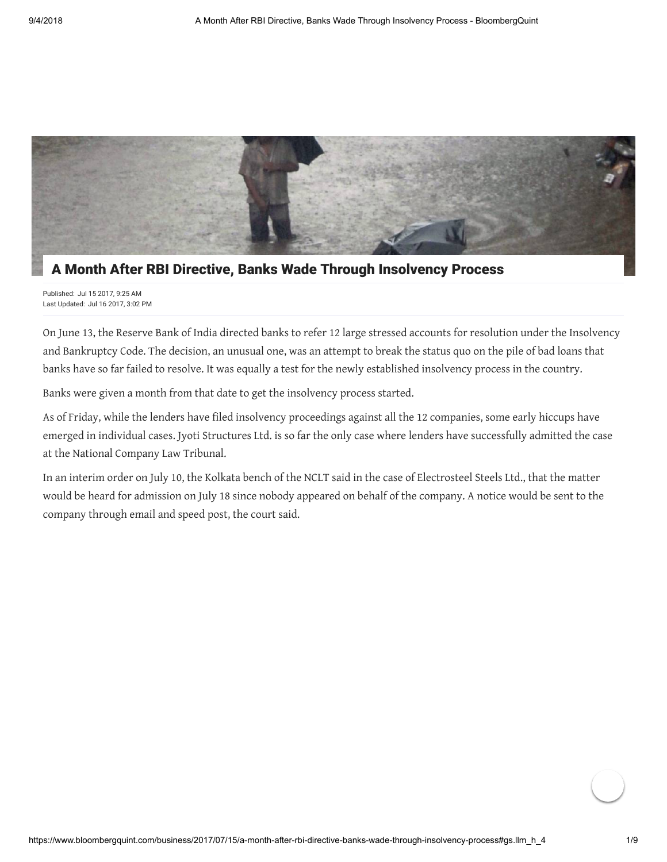

# A Month After RBI Directive, Banks Wade Through Insolvency Process

Published: Jul 15 2017, 9:25 AM Last Updated: Jul 16 2017, 3:02 PM

On June 13, the Reserve Bank of India directed banks to refer 12 large stressed accounts for resolution under the Insolvency and Bankruptcy Code. The decision, an unusual one, was an attempt to break the status quo on the pile of bad loans that banks have so far failed to resolve. It was equally a test for the newly established insolvency process in the country.

Banks were given a month from that date to get the insolvency process started.

As of Friday, while the lenders have filed insolvency proceedings against all the 12 companies, some early hiccups have emerged in individual cases. Jyoti Structures Ltd. is so far the only case where lenders have successfully admitted the case at the National Company Law Tribunal.

In an interim order on July 10, the Kolkata bench of the NCLT said in the case of Electrosteel Steels Ltd., that the matter would be heard for admission on July 18 since nobody appeared on behalf of the company. A notice would be sent to the company through email and speed post, the court said.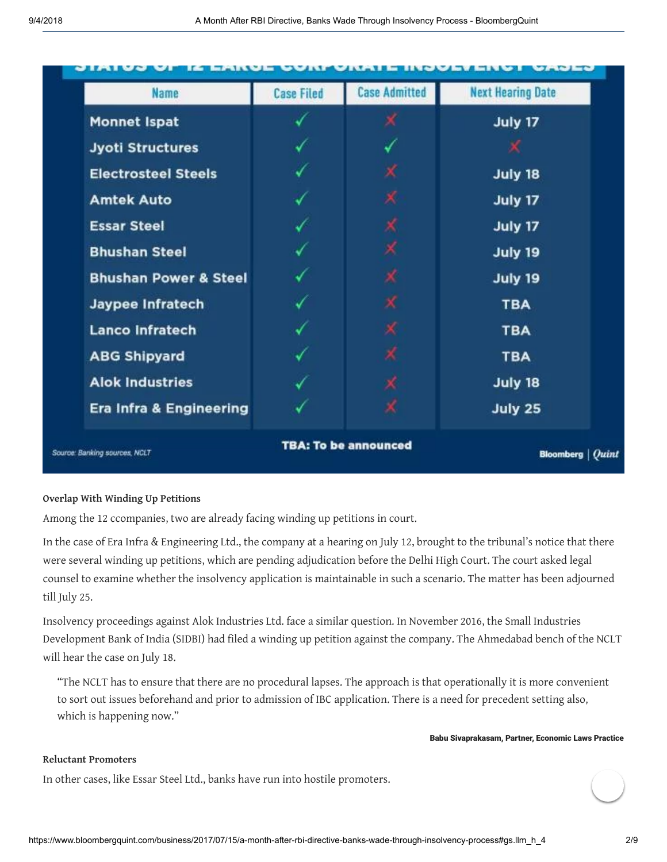| <b>Name</b>                      | <b>Case Filed</b> | <b>Case Admitted</b>        | <b>Next Hearing Date</b> |
|----------------------------------|-------------------|-----------------------------|--------------------------|
| <b>Monnet Ispat</b>              |                   | х                           | July 17                  |
| <b>Jyoti Structures</b>          |                   |                             |                          |
| <b>Electrosteel Steels</b>       |                   | Х                           | July 18                  |
| <b>Amtek Auto</b>                |                   | Х                           | July 17                  |
| <b>Essar Steel</b>               |                   | Х                           | July 17                  |
| <b>Bhushan Steel</b>             |                   | Х                           | July 19                  |
| <b>Bhushan Power &amp; Steel</b> |                   | Х                           | July 19                  |
| Jaypee Infratech                 |                   | х                           | <b>TBA</b>               |
| <b>Lanco Infratech</b>           |                   | Х                           | <b>TBA</b>               |
| <b>ABG Shipyard</b>              |                   | Х                           | <b>TBA</b>               |
| <b>Alok Industries</b>           |                   | ×                           | July 18                  |
| Era Infra & Engineering          |                   | х                           | July 25                  |
|                                  |                   | <b>TBA: To be announced</b> |                          |

# **Overlap With Winding Up Petitions**

Among the 12 ccompanies, two are already facing winding up petitions in court.

In the case of Era Infra & Engineering Ltd., the company at a hearing on July 12, brought to the tribunal's notice that there were several winding up petitions, which are pending adjudication before the Delhi High Court. The court asked legal counsel to examine whether the insolvency application is maintainable in such a scenario. The matter has been adjourned till July 25.

Insolvency proceedings against Alok Industries Ltd. face a similar question. In November 2016, the Small Industries Development Bank of India (SIDBI) had filed a winding up petition against the company. The Ahmedabad bench of the NCLT will hear the case on July 18.

"The NCLT has to ensure that there are no procedural lapses. The approach is that operationally it is more convenient to sort out issues beforehand and prior to admission of IBC application. There is a need for precedent setting also, which is happening now."

### Babu Sivaprakasam, Partner, Economic Laws Practice

# **Reluctant Promoters**

In other cases, like Essar Steel Ltd., banks have run into hostile promoters.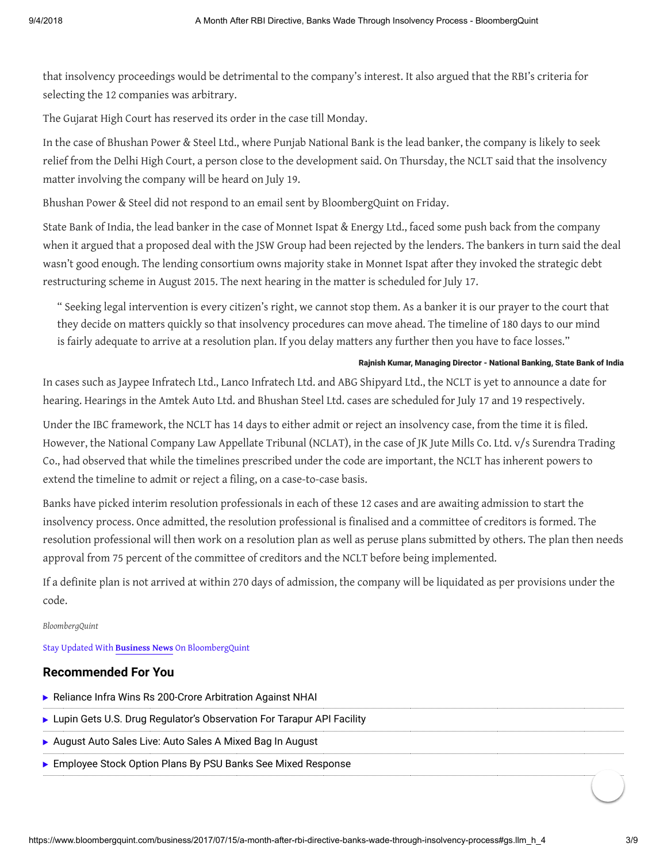that insolvency proceedings would be detrimental to the company's interest. It also argued that the RBI's criteria for selecting the 12 companies was arbitrary.

The Gujarat High Court has reserved its order in the case till Monday.

In the case of Bhushan Power & Steel Ltd., where Punjab National Bank is the lead banker, the company is likely to seek relief from the Delhi High Court, a person close to the development said. On Thursday, the NCLT said that the insolvency matter involving the company will be heard on July 19.

Bhushan Power & Steel did not respond to an email sent by BloombergQuint on Friday.

State Bank of India, the lead banker in the case of Monnet Ispat & Energy Ltd., faced some push back from the company when it argued that a proposed deal with the JSW Group had been rejected by the lenders. The bankers in turn said the deal wasn't good enough. The lending consortium owns majority stake in Monnet Ispat after they invoked the strategic debt restructuring scheme in August 2015. The next hearing in the matter is scheduled for July 17.

" Seeking legal intervention is every citizen's right, we cannot stop them. As a banker it is our prayer to the court that they decide on matters quickly so that insolvency procedures can move ahead. The timeline of 180 days to our mind is fairly adequate to arrive at a resolution plan. If you delay matters any further then you have to face losses."

## Rajnish Kumar, Managing Director - National Banking, State Bank of India

In cases such as Jaypee Infratech Ltd., Lanco Infratech Ltd. and ABG Shipyard Ltd., the NCLT is yet to announce a date for hearing. Hearings in the Amtek Auto Ltd. and Bhushan Steel Ltd. cases are scheduled for July 17 and 19 respectively.

Under the IBC framework, the NCLT has 14 days to either admit or reject an insolvency case, from the time it is filed. However, the National Company Law Appellate Tribunal (NCLAT), in the case of JK Jute Mills Co. Ltd. v/s Surendra Trading Co., had observed that while the timelines prescribed under the code are important, the NCLT has inherent powers to extend the timeline to admit or reject a filing, on a case-to-case basis.

Banks have picked interim resolution professionals in each of these 12 cases and are awaiting admission to start the insolvency process. Once admitted, the resolution professional is finalised and a committee of creditors is formed. The resolution professional will then work on a resolution plan as well as peruse plans submitted by others. The plan then needs approval from 75 percent of the committee of creditors and the NCLT before being implemented.

If a definite plan is not arrived at within 270 days of admission, the company will be liquidated as per provisions under the code.

#### *BloombergQuint*

Stay Updated With **[Business News](https://www.bloombergquint.com/business)** On BloombergQuint

# **Recommended For You**

|  |  |  |  |  | Reliance Infra Wins Rs 200-Crore Arbitration Against NHAI |  |  |
|--|--|--|--|--|-----------------------------------------------------------|--|--|
|--|--|--|--|--|-----------------------------------------------------------|--|--|

- ▶ [Lupin Gets U.S. Drug Regulator's Observation For Tarapur API Facility](https://www.bloombergquint.com/markets/2018/09/04/lupin-gets-us-drug-regulators-observation-for-tarapur-api-facility)
- [August Auto Sales Live: Auto Sales A Mixed Bag In August](https://www.bloombergquint.com/business/2018/09/01/august-auto-sales-live-passenger-vehicles-car-commercial-two-wheeler-volumes-data)
- ▶ [Employee Stock Option Plans By PSU Banks See Mixed Response](https://www.bloombergquint.com/business/2018/09/03/employee-stock-option-plans-by-psu-banks-see-mixed-response)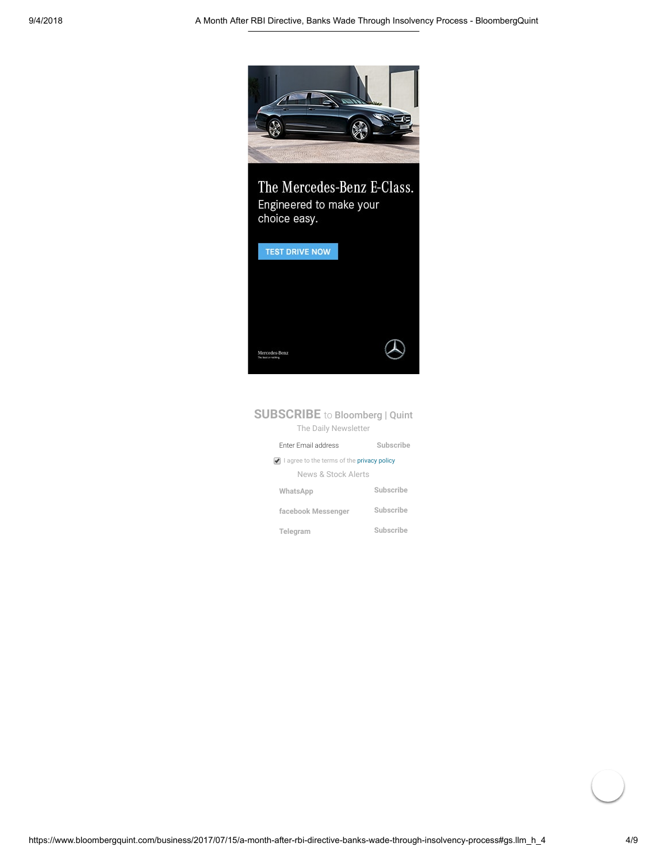

The Mercedes-Benz E-Class. Engineered to make your choice easy.



# **SUBSCRIBE** to Bloomberg | Quint The Daily Newsletter

| <b>Enter Email address</b>                 | Subscribe |  |  |  |  |
|--------------------------------------------|-----------|--|--|--|--|
| I agree to the terms of the privacy policy |           |  |  |  |  |
| News & Stock Alerts                        |           |  |  |  |  |
| WhatsApp                                   | Subscribe |  |  |  |  |
| facebook Messenger                         | Subscribe |  |  |  |  |
| Telegram                                   | Subscribe |  |  |  |  |